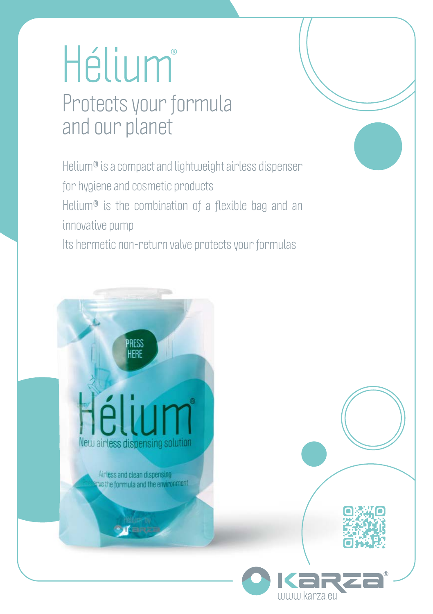# Hélium® Protects your formula and our planet

Helium® is a compact and lightweight airless dispenser for hygiene and cosmetic products Helium® is the combination of a flexible bag and an innovative pump Its hermetic non-return valve protects your formulas

New airless dispensing solution

**RESS** 

Airless and clean dispensing we the formula and the environment

THITHI karza et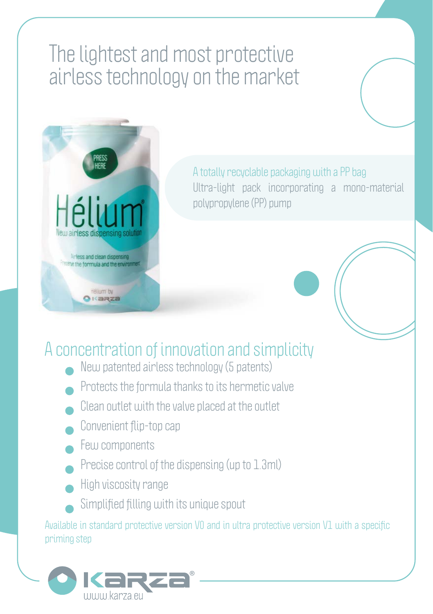## The lightest and most protective airless technology on the market



A totally recyclable packaging with a PP bag Ultra-light pack incorporating a mono-material polypropylene (PP) pump

### A concentration of innovation and simplicity

- New patented airless technology (5 patents)
- Protects the formula thanks to its hermetic valve
- Clean outlet with the valve placed at the outlet
- Convenient flip-top cap
- Few components
- Precise control of the dispensing (up to 1.3ml)
- High viscosity range
- Simplified filling with its unique spout

Available in standard protective version V0 and in ultra protective version V1 with a specific priming step

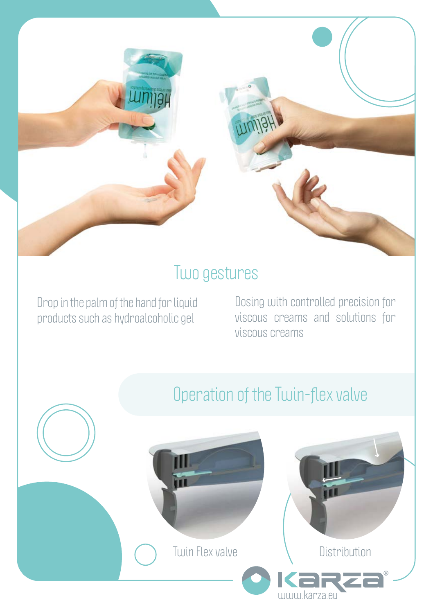#### Two gestures

Drop in the palm of the hand for liquid products such as hydroalcoholic gel

Dosing with controlled precision for viscous creams and solutions for viscous creams

#### Operation of the Twin-flex valve